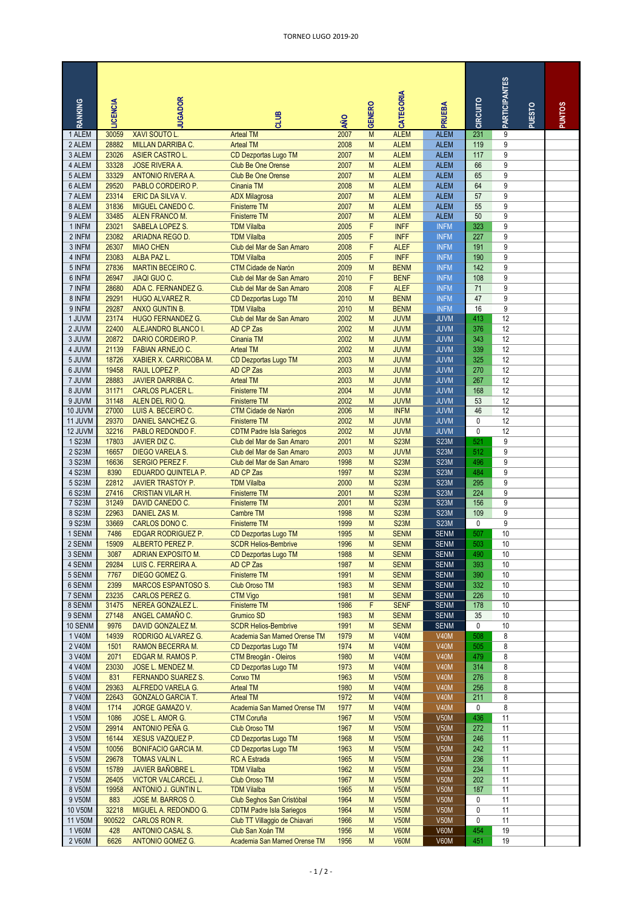| RANKING            | <b>LCENCIA</b> | <b>UGADOR</b>                                        | <b>SITIO</b>                                            | AÑO          | <b>GENERO</b> | CATEGORIA                  | PRUEBA                     | CIRCUITO   | PARTICIPANTES | PUESTO | <b>PUNTOS</b> |
|--------------------|----------------|------------------------------------------------------|---------------------------------------------------------|--------------|---------------|----------------------------|----------------------------|------------|---------------|--------|---------------|
| 1 ALEM             | 30059          | <b>XAVI SOUTO L</b>                                  | <b>Arteal TM</b>                                        | 2007         | M             | <b>ALEM</b>                | <b>ALEM</b>                | 231        | 9             |        |               |
| 2 ALEM<br>3 ALEM   | 28882<br>23026 | MILLAN DARRIBA C.<br><b>ASIER CASTRO L.</b>          | <b>Arteal TM</b>                                        | 2008<br>2007 | M<br>M        | <b>ALEM</b><br><b>ALEM</b> | <b>ALEM</b><br><b>ALEM</b> | 119<br>117 | 9<br>9        |        |               |
| 4 ALEM             | 33328          | <b>JOSE RIVERA A.</b>                                | CD Dezportas Lugo TM<br><b>Club Be One Orense</b>       | 2007         | M             | <b>ALEM</b>                | <b>ALEM</b>                | 66         | 9             |        |               |
| 5 ALEM             | 33329          | <b>ANTONIO RIVERA A.</b>                             | <b>Club Be One Orense</b>                               | 2007         | M             | <b>ALEM</b>                | <b>ALEM</b>                | 65         | 9             |        |               |
| 6 ALEM             | 29520          | PABLO CORDEIRO P.                                    | Cinania TM                                              | 2008         | M             | <b>ALEM</b>                | <b>ALEM</b>                | 64         | 9             |        |               |
| 7 ALEM             | 23314          | ERIC DA SILVA V.                                     | <b>ADX Milagrosa</b>                                    | 2007         | M             | <b>ALEM</b>                | <b>ALEM</b>                | 57         | 9             |        |               |
| 8 ALEM             | 31836          | MIGUEL CANEDO C.                                     | <b>Finisterre TM</b>                                    | 2007         | M             | <b>ALEM</b>                | <b>ALEM</b>                | 55         | 9             |        |               |
| 9 ALEM             | 33485          | <b>ALEN FRANCO M.</b>                                | <b>Finisterre TM</b>                                    | 2007         | M             | <b>ALEM</b>                | <b>ALEM</b>                | 50         | 9             |        |               |
| 1 INFM             | 23021          | SABELA LOPEZ S.                                      | <b>TDM Vilalba</b>                                      | 2005         | F             | <b>INFF</b>                | <b>INFM</b>                | 323        | 9             |        |               |
| 2 INFM<br>3 INFM   | 23082<br>26307 | ARIADNA REGO D.<br><b>MIAO CHEN</b>                  | <b>TDM Vilalba</b><br>Club del Mar de San Amaro         | 2005<br>2008 | F<br>F        | <b>INFF</b><br><b>ALEF</b> | <b>INFM</b><br><b>INFM</b> | 227<br>191 | 9<br>9        |        |               |
| 4 INFM             | 23083          | ALBA PAZ L.                                          | <b>TDM Vilalba</b>                                      | 2005         | F             | <b>INFF</b>                | <b>INFM</b>                | 190        | 9             |        |               |
| 5 INFM             | 27836          | <b>MARTIN BECEIRO C.</b>                             | <b>CTM Cidade de Narón</b>                              | 2009         | M             | <b>BENM</b>                | <b>INFM</b>                | 142        | 9             |        |               |
| 6 INFM             | 26947          | <b>JIAQI GUO C.</b>                                  | Club del Mar de San Amaro                               | 2010         | F             | <b>BENF</b>                | <b>INFM</b>                | 108        | 9             |        |               |
| 7 INFM             | 28680          | ADA C. FERNANDEZ G.                                  | Club del Mar de San Amaro                               | 2008         | F             | <b>ALEF</b>                | <b>INFM</b>                | 71         | 9             |        |               |
| 8 INFM             | 29291          | <b>HUGO ALVAREZ R.</b>                               | CD Dezportas Lugo TM                                    | 2010         | M             | <b>BENM</b>                | <b>INFM</b>                | 47         | 9             |        |               |
| 9 INFM             | 29287          | <b>ANXO GUNTIN B.</b>                                | <b>TDM Vilalba</b>                                      | 2010         | M             | <b>BENM</b>                | <b>INFM</b>                | 16         | 9             |        |               |
| 1 JUVM<br>2 JUVM   | 23174<br>22400 | <b>HUGO FERNANDEZ G.</b>                             | Club del Mar de San Amaro<br>AD CP Zas                  | 2002<br>2002 | M<br>M        | <b>JUVM</b><br><b>JUVM</b> | <b>JUVM</b><br><b>JUVM</b> | 413<br>376 | 12<br>12      |        |               |
| 3 JUVM             | 20872          | ALEJANDRO BLANCO I.<br>DARIO CORDEIRO P.             | Cinania TM                                              | 2002         | M             | <b>JUVM</b>                | <b>JUVM</b>                | 343        | 12            |        |               |
| 4 JUVM             | 21139          | <b>FABIAN ARNEJO C.</b>                              | <b>Arteal TM</b>                                        | 2002         | M             | <b>JUVM</b>                | <b>JUVM</b>                | 339        | 12            |        |               |
| 5 JUVM             | 18726          | <b>XABIER X. CARRICOBA M.</b>                        | CD Dezportas Lugo TM                                    | 2003         | M             | <b>JUVM</b>                | <b>JUVM</b>                | 325        | 12            |        |               |
| 6 JUVM             | 19458          | RAUL LOPEZ P.                                        | AD CP Zas                                               | 2003         | M             | <b>JUVM</b>                | <b>JUVM</b>                | 270        | 12            |        |               |
| 7 JUVM             | 28883          | <b>JAVIER DARRIBA C.</b>                             | <b>Arteal TM</b>                                        | 2003         | M             | <b>JUVM</b>                | <b>JUVM</b>                | 267        | 12            |        |               |
| 8 JUVM             | 31171          | <b>CARLOS PLACER L.</b>                              | <b>Finisterre TM</b>                                    | 2004         | M             | <b>JUVM</b>                | <b>JUVM</b>                | 168        | 12            |        |               |
| 9 JUVM             | 31148          | ALEN DEL RIO Q.                                      | <b>Finisterre TM</b>                                    | 2002         | M             | <b>JUVM</b>                | <b>JUVM</b>                | 53         | 12            |        |               |
| 10 JUVM<br>11 JUVM | 27000<br>29370 | LUIS A. BECEIRO C.                                   | <b>CTM Cidade de Narón</b>                              | 2006<br>2002 | M<br>M        | <b>INFM</b><br><b>JUVM</b> | <b>JUVM</b><br><b>JUVM</b> | 46<br>0    | 12<br>12      |        |               |
| 12 JUVM            | 32216          | <b>DANIEL SANCHEZ G.</b><br>PABLO REDONDO F.         | <b>Finisterre TM</b><br><b>CDTM Padre Isla Sariegos</b> | 2002         | M             | <b>JUVM</b>                | <b>JUVM</b>                | 0          | 12            |        |               |
| 1 S23M             | 17803          | JAVIER DIZ C.                                        | Club del Mar de San Amaro                               | 2001         | M             | <b>S23M</b>                | <b>S23M</b>                | 521        | 9             |        |               |
| 2 S23M             | 16657          | <b>DIEGO VARELA S.</b>                               | Club del Mar de San Amaro                               | 2003         | M             | <b>JUVM</b>                | <b>S23M</b>                | 512        | 9             |        |               |
| 3 S23M             | 16636          | <b>SERGIO PEREZ F.</b>                               | Club del Mar de San Amaro                               | 1998         | M             | <b>S23M</b>                | <b>S23M</b>                | 496        | 9             |        |               |
| 4 S23M             | 8390           | EDUARDO QUINTELA P.                                  | AD CP Zas                                               | 1997         | M             | <b>S23M</b>                | <b>S23M</b>                | 484        | 9             |        |               |
| 5 S23M             | 22812          | <b>JAVIER TRASTOY P.</b>                             | <b>TDM Vilalba</b>                                      | 2000         | M             | <b>S23M</b>                | <b>S23M</b>                | 295        | 9             |        |               |
| 6 S23M<br>7 S23M   | 27416<br>31249 | <b>CRISTIAN VILAR H.</b>                             | <b>Finisterre TM</b><br><b>Finisterre TM</b>            | 2001<br>2001 | M<br>M        | <b>S23M</b><br><b>S23M</b> | S23M<br><b>S23M</b>        | 224<br>156 | 9<br>9        |        |               |
| 8 S23M             | 22963          | DAVID CANEDO C.<br>DANIEL ZAS M.                     | <b>Cambre TM</b>                                        | 1998         | M             | <b>S23M</b>                | <b>S23M</b>                | 109        | 9             |        |               |
| 9 S23M             | 33669          | CARLOS DONO C.                                       | <b>Finisterre TM</b>                                    | 1999         | M             | <b>S23M</b>                | <b>S23M</b>                | 0          | 9             |        |               |
| 1 SENM             | 7486           | <b>EDGAR RODRIGUEZ P.</b>                            | CD Dezportas Lugo TM                                    | 1995         | M             | <b>SENM</b>                | <b>SENM</b>                | 507        | 10            |        |               |
| 2 SENM             | 15909          | <b>ALBERTO PEREZ P</b>                               | <b>SCDR Helios-Bembrive</b>                             | 1996         | M             | <b>SENM</b>                | <b>SENM</b>                | 503        | 10            |        |               |
| 3 SENM             | 3087           | <b>ADRIAN EXPOSITO M.</b>                            | CD Dezportas Lugo TM                                    | 1988         | M             | <b>SENM</b>                | <b>SENM</b>                | 490        | 10            |        |               |
| 4 SENM             | 29284          | LUIS C. FERREIRA A.                                  | AD CP Zas                                               | 1987         | M             | <b>SENM</b>                | <b>SENM</b>                | 393        | 10            |        |               |
| 5 SENM             | 7767           | DIEGO GOMEZ G.                                       | <b>Finisterre TM</b>                                    | 1991         | M             | <b>SENM</b>                | <b>SENM</b>                | 390        | 10            |        |               |
| 6 SENM<br>7 SENM   | 2399<br>23235  | <b>MARCOS ESPANTOSO S.</b><br><b>CARLOS PEREZ G.</b> | <b>Club Oroso TM</b><br><b>CTM Vigo</b>                 | 1983<br>1981 | M<br>M        | <b>SENM</b><br><b>SENM</b> | <b>SENM</b><br><b>SENM</b> | 332<br>226 | 10<br>10      |        |               |
| 8 SENM             | 31475          | NEREA GONZALEZ L.                                    | <b>Finisterre TM</b>                                    | 1986         | F             | <b>SENF</b>                | <b>SENM</b>                | 178        | 10            |        |               |
| 9 SENM             | 27148          | ANGEL CAMAÑO C.                                      | <b>Grumico SD</b>                                       | 1983         | M             | <b>SENM</b>                | <b>SENM</b>                | 35         | 10            |        |               |
| 10 SENM            | 9976           | DAVID GONZALEZ M.                                    | <b>SCDR Helios-Bembrive</b>                             | 1991         | M             | <b>SENM</b>                | <b>SENM</b>                | 0          | 10            |        |               |
| 1 V40M             | 14939          | RODRIGO ALVAREZ G.                                   | Academia San Mamed Orense TM                            | 1979         | M             | <b>V40M</b>                | <b>V40M</b>                | 508        | 8             |        |               |
| 2 V40M             | 1501           | RAMON BECERRA M.                                     | CD Dezportas Lugo TM                                    | 1974         | M             | V40M                       | <b>V40M</b>                | 505        | 8             |        |               |
| 3 V40M             | 2071           | EDGAR M. RAMOS P.                                    | CTM Breogán - Oleiros                                   | 1980         | M             | <b>V40M</b>                | <b>V40M</b>                | 479        | 8             |        |               |
| 4 V40M<br>5 V40M   | 23030<br>831   | JOSE L. MENDEZ M.<br><b>FERNANDO SUAREZ S.</b>       | CD Dezportas Lugo TM<br>Conxo TM                        | 1973<br>1963 | M<br>M        | <b>V40M</b><br><b>V50M</b> | <b>V40M</b><br><b>V40M</b> | 314<br>276 | 8<br>8        |        |               |
| 6 V40M             | 29363          | ALFREDO VARELA G.                                    | <b>Arteal TM</b>                                        | 1980         | M             | <b>V40M</b>                | <b>V40M</b>                | 256        | 8             |        |               |
| 7 V40M             | 22643          | <b>GONZALO GARCIA T.</b>                             | <b>Arteal TM</b>                                        | 1972         | M             | <b>V40M</b>                | <b>V40M</b>                | 211        | 8             |        |               |
| 8 V40M             | 1714           | <b>JORGE GAMAZO V.</b>                               | Academia San Mamed Orense TM                            | 1977         | M             | <b>V40M</b>                | <b>V40M</b>                | 0          | 8             |        |               |
| 1 V50M             | 1086           | JOSE L. AMOR G.                                      | <b>CTM Coruña</b>                                       | 1967         | M             | <b>V50M</b>                | <b>V50M</b>                | 436        | 11            |        |               |
| 2 V50M             | 29914          | ANTONIO PEÑA G.                                      | <b>Club Oroso TM</b>                                    | 1967         | M             | <b>V50M</b>                | V50M                       | 272        | 11            |        |               |
| 3 V50M             | 16144          | <b>XESUS VAZQUEZ P.</b>                              | CD Dezportas Lugo TM                                    | 1968         | M             | <b>V50M</b>                | <b>V50M</b>                | 246        | 11            |        |               |
| 4 V50M             | 10056          | <b>BONIFACIO GARCIA M.</b>                           | CD Dezportas Lugo TM                                    | 1963         | M             | <b>V50M</b>                | <b>V50M</b>                | 242        | 11            |        |               |
| 5 V50M<br>6 V50M   | 29678<br>15789 | <b>TOMAS VALIN L.</b><br><b>JAVIER BAÑOBRE L.</b>    | <b>RC A Estrada</b><br><b>TDM Vilalba</b>               | 1965<br>1962 | M<br>M        | <b>V50M</b><br><b>V50M</b> | V50M<br>V50M               | 236<br>234 | 11<br>11      |        |               |
| 7 V50M             | 26405          | <b>VICTOR VALCARCEL J.</b>                           | <b>Club Oroso TM</b>                                    | 1967         | M             | <b>V50M</b>                | <b>V50M</b>                | 202        | 11            |        |               |
| 8 V50M             | 19958          | ANTONIO J. GUNTIN L.                                 | <b>TDM Vilalba</b>                                      | 1965         | M             | <b>V50M</b>                | V50M                       | 187        | 11            |        |               |
| 9 V50M             | 883            | JOSE M. BARROS O.                                    | Club Seghos San Cristóbal                               | 1964         | M             | <b>V50M</b>                | V50M                       | 0          | 11            |        |               |
| 10 V50M            | 32218          | MIGUEL A. REDONDO G.                                 | <b>CDTM Padre Isla Sariegos</b>                         | 1964         | M             | <b>V50M</b>                | V50M                       | 0          | 11            |        |               |
| 11 V50M            | 900522         | CARLOS RON R.                                        | Club TT Villaggio de Chiavari                           | 1966         | M             | <b>V50M</b>                | <b>V50M</b>                | 0          | 11            |        |               |
| 1 V60M             | 428            | <b>ANTONIO CASAL S.</b>                              | Club San Xoán TM                                        | 1956         | M             | <b>V60M</b>                | <b>V60M</b>                | 454        | 19            |        |               |
| 2 V60M             | 6626           | <b>ANTONIO GOMEZ G.</b>                              | Academia San Mamed Orense TM                            | 1956         | M             | <b>V60M</b>                | V60M                       | 451        | 19            |        |               |